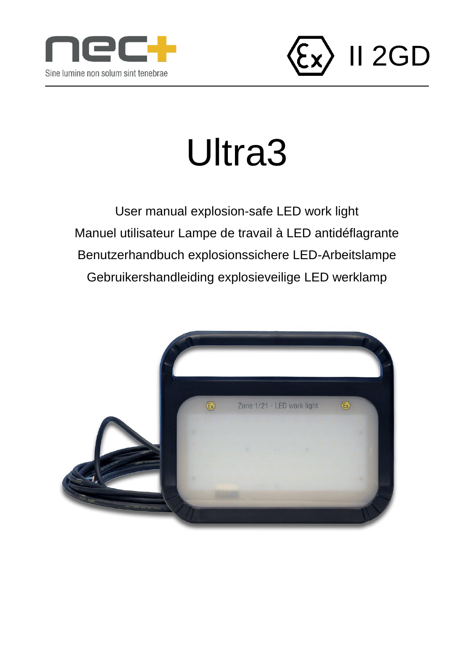



# Ultra3

User manual explosion-safe LED work light Manuel utilisateur Lampe de travail à LED antidéflagrante Benutzerhandbuch explosionssichere LED-Arbeitslampe Gebruikershandleiding explosieveilige LED werklamp

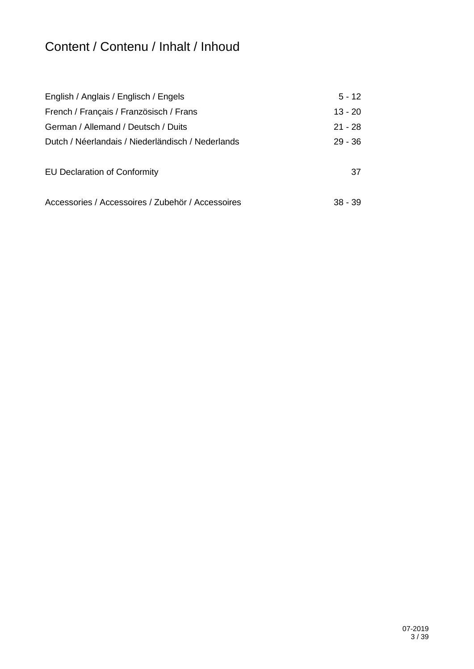## Content / Contenu / Inhalt / Inhoud

| English / Anglais / Englisch / Engels             | $5 - 12$  |
|---------------------------------------------------|-----------|
| French / Français / Französisch / Frans           | $13 - 20$ |
| German / Allemand / Deutsch / Duits               | $21 - 28$ |
| Dutch / Néerlandais / Niederländisch / Nederlands | $29 - 36$ |
|                                                   |           |
| <b>EU Declaration of Conformity</b>               | 37        |
|                                                   |           |
| Accessories / Accessoires / Zubehör / Accessoires | $38 - 39$ |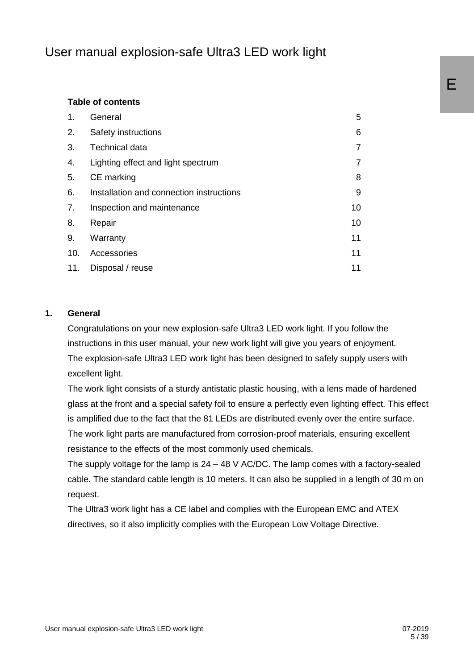## User manual explosion-safe Ultra3 LED work light

#### **Table of contents**

| 1.  | General                                  | 5  |
|-----|------------------------------------------|----|
| 2.  | Safety instructions                      | 6  |
| 3.  | <b>Technical data</b>                    | 7  |
| 4.  | Lighting effect and light spectrum       | 7  |
| 5.  | CE marking                               | 8  |
| 6.  | Installation and connection instructions | 9  |
| 7.  | Inspection and maintenance               | 10 |
| 8.  | Repair                                   | 10 |
| 9.  | Warranty                                 | 11 |
| 10. | Accessories                              | 11 |
| 11. | Disposal / reuse                         | 11 |

#### **1. General**

Congratulations on your new explosion-safe Ultra3 LED work light. If you follow the instructions in this user manual, your new work light will give you years of enjoyment. The explosion-safe Ultra3 LED work light has been designed to safely supply users with excellent light.

The work light consists of a sturdy antistatic plastic housing, with a lens made of hardened glass at the front and a special safety foil to ensure a perfectly even lighting effect. This effect is amplified due to the fact that the 81 LEDs are distributed evenly over the entire surface. The work light parts are manufactured from corrosion-proof materials, ensuring excellent resistance to the effects of the most commonly used chemicals.

The supply voltage for the lamp is 24 – 48 V AC/DC. The lamp comes with a factory-sealed cable. The standard cable length is 10 meters. It can also be supplied in a length of 30 m on request.

The Ultra3 work light has a CE label and complies with the European EMC and ATEX directives, so it also implicitly complies with the European Low Voltage Directive.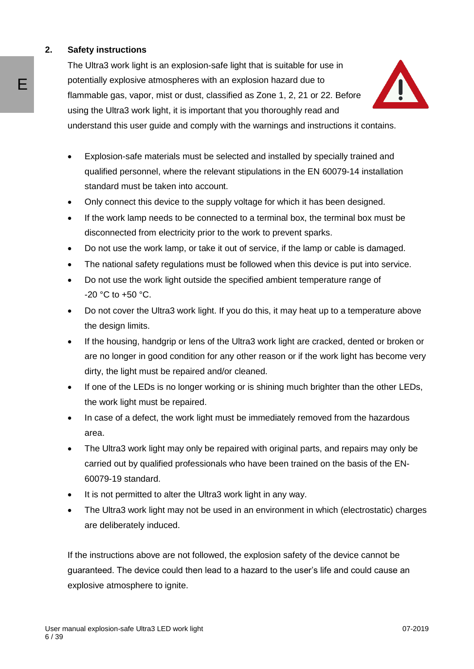#### **2. Safety instructions**

The Ultra3 work light is an explosion-safe light that is suitable for use in potentially explosive atmospheres with an explosion hazard due to flammable gas, vapor, mist or dust, classified as Zone 1, 2, 21 or 22. Before using the Ultra3 work light, it is important that you thoroughly read and



understand this user guide and comply with the warnings and instructions it contains.

- Explosion-safe materials must be selected and installed by specially trained and qualified personnel, where the relevant stipulations in the EN 60079-14 installation standard must be taken into account.
- Only connect this device to the supply voltage for which it has been designed.
- If the work lamp needs to be connected to a terminal box, the terminal box must be disconnected from electricity prior to the work to prevent sparks.
- Do not use the work lamp, or take it out of service, if the lamp or cable is damaged.
- The national safety regulations must be followed when this device is put into service.
- Do not use the work light outside the specified ambient temperature range of  $-20$  °C to  $+50$  °C.
- Do not cover the Ultra3 work light. If you do this, it may heat up to a temperature above the design limits.
- If the housing, handgrip or lens of the Ultra3 work light are cracked, dented or broken or are no longer in good condition for any other reason or if the work light has become very dirty, the light must be repaired and/or cleaned.
- If one of the LEDs is no longer working or is shining much brighter than the other LEDs, the work light must be repaired.
- In case of a defect, the work light must be immediately removed from the hazardous area.
- The Ultra3 work light may only be repaired with original parts, and repairs may only be carried out by qualified professionals who have been trained on the basis of the EN-60079-19 standard.
- It is not permitted to alter the Ultra3 work light in any way.
- The Ultra3 work light may not be used in an environment in which (electrostatic) charges are deliberately induced.

If the instructions above are not followed, the explosion safety of the device cannot be guaranteed. The device could then lead to a hazard to the user's life and could cause an explosive atmosphere to ignite.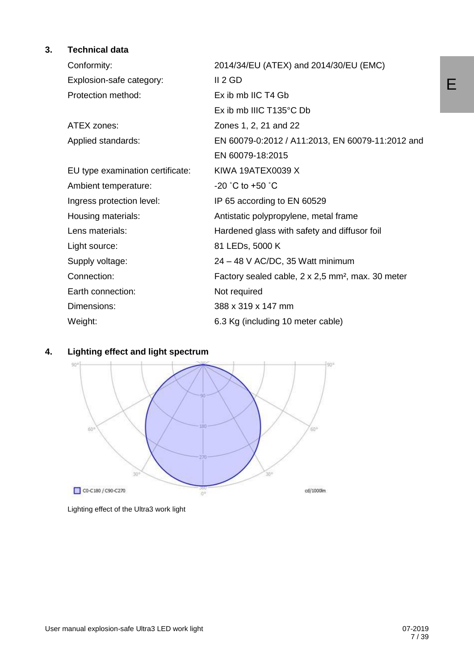#### **3. Technical data**

| Conformity:                      | 2014/34/EU (ATEX) and 2014/30/EU (EMC)                        |
|----------------------------------|---------------------------------------------------------------|
| Explosion-safe category:         | II 2 GD                                                       |
| Protection method:               | Ex ib mb IIC T4 Gb                                            |
|                                  | Ex ib mb IIIC T135°C Db                                       |
| ATEX zones:                      | Zones 1, 2, 21 and 22                                         |
| Applied standards:               | EN 60079-0:2012 / A11:2013, EN 60079-11:2012 and              |
|                                  | EN 60079-18:2015                                              |
| EU type examination certificate: | KIWA 19ATEX0039 X                                             |
| Ambient temperature:             | $-20$ °C to $+50$ °C                                          |
| Ingress protection level:        | IP 65 according to EN 60529                                   |
| Housing materials:               | Antistatic polypropylene, metal frame                         |
| Lens materials:                  | Hardened glass with safety and diffusor foil                  |
| Light source:                    | 81 LEDs, 5000 K                                               |
| Supply voltage:                  | 24 - 48 V AC/DC, 35 Watt minimum                              |
| Connection:                      | Factory sealed cable, 2 x 2,5 mm <sup>2</sup> , max. 30 meter |
| Earth connection:                | Not required                                                  |
| Dimensions:                      | 388 x 319 x 147 mm                                            |
| Weight:                          | 6.3 Kg (including 10 meter cable)                             |



#### **4. Lighting effect and light spectrum**

Lighting effect of the Ultra3 work light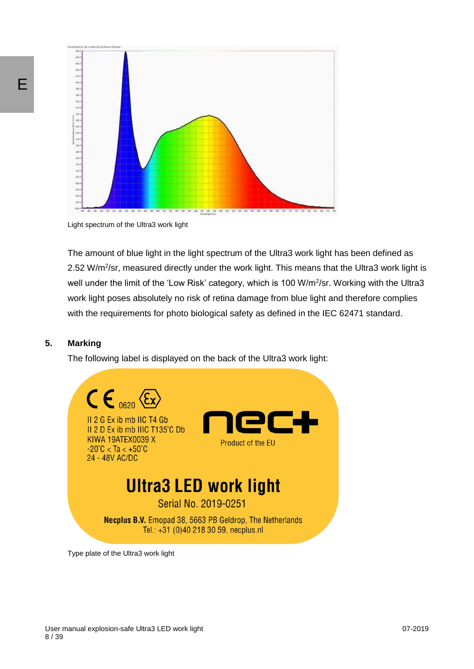

Light spectrum of the Ultra3 work light

The amount of blue light in the light spectrum of the Ultra3 work light has been defined as 2.52 W/m<sup>2</sup>/sr, measured directly under the work light. This means that the Ultra3 work light is well under the limit of the 'Low Risk' category, which is 100 W/m<sup>2</sup>/sr. Working with the Ultra3 work light poses absolutely no risk of retina damage from blue light and therefore complies with the requirements for photo biological safety as defined in the IEC 62471 standard.

#### **5. Marking**

The following label is displayed on the back of the Ultra3 work light:



Type plate of the Ultra3 work light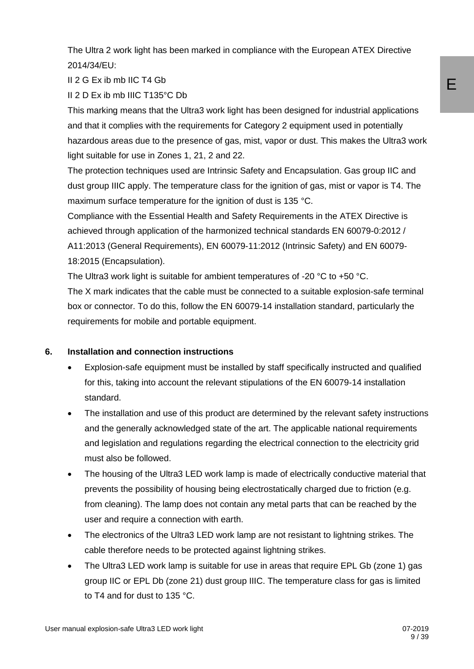The Ultra 2 work light has been marked in compliance with the European ATEX Directive 2014/34/EU:

II 2 G Ex ib mb IIC T4 Gb

II 2 D Ex ib mb IIIC T135°C Db

This marking means that the Ultra3 work light has been designed for industrial applications and that it complies with the requirements for Category 2 equipment used in potentially hazardous areas due to the presence of gas, mist, vapor or dust. This makes the Ultra3 work light suitable for use in Zones 1, 21, 2 and 22.

The protection techniques used are Intrinsic Safety and Encapsulation. Gas group IIC and dust group IIIC apply. The temperature class for the ignition of gas, mist or vapor is T4. The maximum surface temperature for the ignition of dust is 135 °C.

Compliance with the Essential Health and Safety Requirements in the ATEX Directive is achieved through application of the harmonized technical standards EN 60079-0:2012 / A11:2013 (General Requirements), EN 60079-11:2012 (Intrinsic Safety) and EN 60079- 18:2015 (Encapsulation).

The Ultra3 work light is suitable for ambient temperatures of -20  $^{\circ}$ C to +50  $^{\circ}$ C.

The X mark indicates that the cable must be connected to a suitable explosion-safe terminal box or connector. To do this, follow the EN 60079-14 installation standard, particularly the requirements for mobile and portable equipment.

#### **6. Installation and connection instructions**

- Explosion-safe equipment must be installed by staff specifically instructed and qualified for this, taking into account the relevant stipulations of the EN 60079-14 installation standard.
- The installation and use of this product are determined by the relevant safety instructions and the generally acknowledged state of the art. The applicable national requirements and legislation and regulations regarding the electrical connection to the electricity grid must also be followed.
- The housing of the Ultra3 LED work lamp is made of electrically conductive material that prevents the possibility of housing being electrostatically charged due to friction (e.g. from cleaning). The lamp does not contain any metal parts that can be reached by the user and require a connection with earth.
- The electronics of the Ultra3 LED work lamp are not resistant to lightning strikes. The cable therefore needs to be protected against lightning strikes.
- The Ultra3 LED work lamp is suitable for use in areas that require EPL Gb (zone 1) gas group IIC or EPL Db (zone 21) dust group IIIC. The temperature class for gas is limited to T4 and for dust to 135 °C.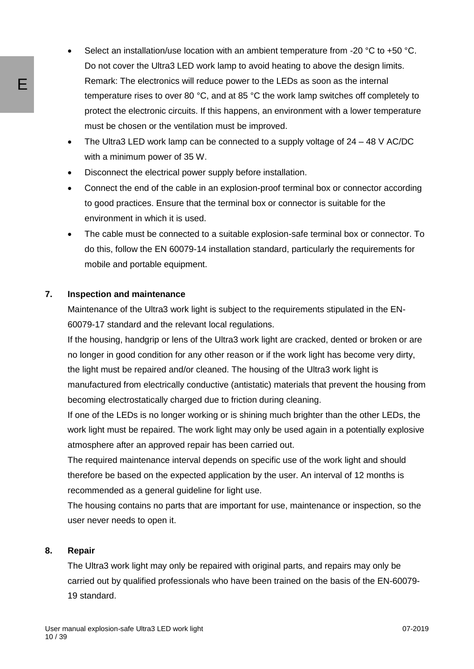- Select an installation/use location with an ambient temperature from -20  $^{\circ}$ C to +50  $^{\circ}$ C. Do not cover the Ultra3 LED work lamp to avoid heating to above the design limits. Remark: The electronics will reduce power to the LEDs as soon as the internal temperature rises to over 80 °C, and at 85 °C the work lamp switches off completely to protect the electronic circuits. If this happens, an environment with a lower temperature must be chosen or the ventilation must be improved.
- The Ultra3 LED work lamp can be connected to a supply voltage of 24 48 V AC/DC with a minimum power of 35 W.
- Disconnect the electrical power supply before installation.
- Connect the end of the cable in an explosion-proof terminal box or connector according to good practices. Ensure that the terminal box or connector is suitable for the environment in which it is used.
- The cable must be connected to a suitable explosion-safe terminal box or connector. To do this, follow the EN 60079-14 installation standard, particularly the requirements for mobile and portable equipment.

#### **7. Inspection and maintenance**

Maintenance of the Ultra3 work light is subject to the requirements stipulated in the EN-60079-17 standard and the relevant local regulations.

If the housing, handgrip or lens of the Ultra3 work light are cracked, dented or broken or are no longer in good condition for any other reason or if the work light has become very dirty, the light must be repaired and/or cleaned. The housing of the Ultra3 work light is manufactured from electrically conductive (antistatic) materials that prevent the housing from becoming electrostatically charged due to friction during cleaning.

If one of the LEDs is no longer working or is shining much brighter than the other LEDs, the work light must be repaired. The work light may only be used again in a potentially explosive atmosphere after an approved repair has been carried out.

The required maintenance interval depends on specific use of the work light and should therefore be based on the expected application by the user. An interval of 12 months is recommended as a general guideline for light use.

The housing contains no parts that are important for use, maintenance or inspection, so the user never needs to open it.

#### **8. Repair**

The Ultra3 work light may only be repaired with original parts, and repairs may only be carried out by qualified professionals who have been trained on the basis of the EN-60079- 19 standard.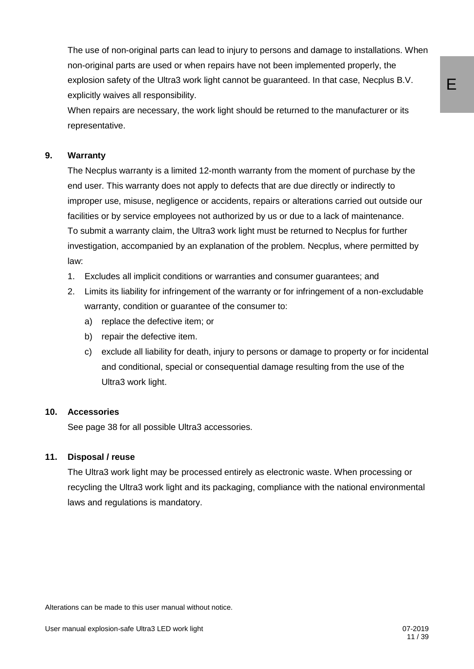The use of non-original parts can lead to injury to persons and damage to installations. When non-original parts are used or when repairs have not been implemented properly, the explosion safety of the Ultra3 work light cannot be guaranteed. In that case, Necplus B.V. explicitly waives all responsibility.

When repairs are necessary, the work light should be returned to the manufacturer or its representative.

#### **9. Warranty**

The Necplus warranty is a limited 12-month warranty from the moment of purchase by the end user. This warranty does not apply to defects that are due directly or indirectly to improper use, misuse, negligence or accidents, repairs or alterations carried out outside our facilities or by service employees not authorized by us or due to a lack of maintenance. To submit a warranty claim, the Ultra3 work light must be returned to Necplus for further investigation, accompanied by an explanation of the problem. Necplus, where permitted by law:

- 1. Excludes all implicit conditions or warranties and consumer guarantees; and
- 2. Limits its liability for infringement of the warranty or for infringement of a non-excludable warranty, condition or guarantee of the consumer to:
	- a) replace the defective item; or
	- b) repair the defective item.
	- c) exclude all liability for death, injury to persons or damage to property or for incidental and conditional, special or consequential damage resulting from the use of the Ultra3 work light.

#### **10. Accessories**

See page 38 for all possible Ultra3 accessories.

#### **11. Disposal / reuse**

The Ultra3 work light may be processed entirely as electronic waste. When processing or recycling the Ultra3 work light and its packaging, compliance with the national environmental laws and regulations is mandatory.

Alterations can be made to this user manual without notice.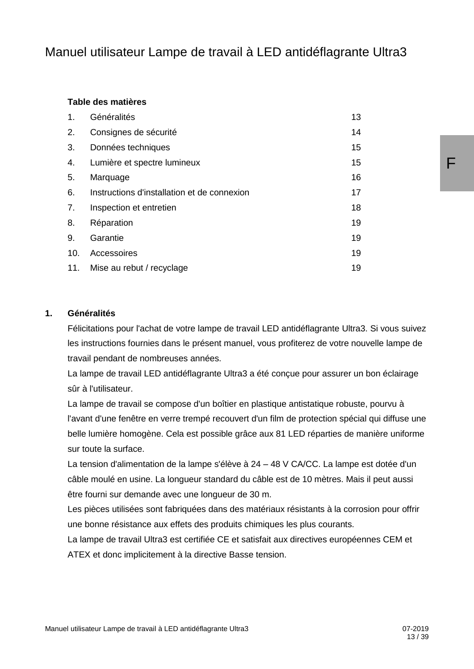## Manuel utilisateur Lampe de travail à LED antidéflagrante Ultra3

#### **Table des matières**

| 1.  | Généralités                                 | 13 |
|-----|---------------------------------------------|----|
| 2.  | Consignes de sécurité                       | 14 |
| 3.  | Données techniques                          | 15 |
| 4.  | Lumière et spectre lumineux                 | 15 |
| 5.  | Marquage                                    | 16 |
| 6.  | Instructions d'installation et de connexion | 17 |
| 7.  | Inspection et entretien                     | 18 |
| 8.  | Réparation                                  | 19 |
| 9.  | Garantie                                    | 19 |
| 10. | Accessoires                                 | 19 |
| 11. | Mise au rebut / recyclage                   | 19 |

#### **1. Généralités**

Félicitations pour l'achat de votre lampe de travail LED antidéflagrante Ultra3. Si vous suivez les instructions fournies dans le présent manuel, vous profiterez de votre nouvelle lampe de travail pendant de nombreuses années.

La lampe de travail LED antidéflagrante Ultra3 a été conçue pour assurer un bon éclairage sûr à l'utilisateur.

La lampe de travail se compose d'un boîtier en plastique antistatique robuste, pourvu à l'avant d'une fenêtre en verre trempé recouvert d'un film de protection spécial qui diffuse une belle lumière homogène. Cela est possible grâce aux 81 LED réparties de manière uniforme sur toute la surface.

La tension d'alimentation de la lampe s'élève à 24 – 48 V CA/CC. La lampe est dotée d'un câble moulé en usine. La longueur standard du câble est de 10 mètres. Mais il peut aussi être fourni sur demande avec une longueur de 30 m.

Les pièces utilisées sont fabriquées dans des matériaux résistants à la corrosion pour offrir une bonne résistance aux effets des produits chimiques les plus courants.

La lampe de travail Ultra3 est certifiée CE et satisfait aux directives européennes CEM et ATEX et donc implicitement à la directive Basse tension.

F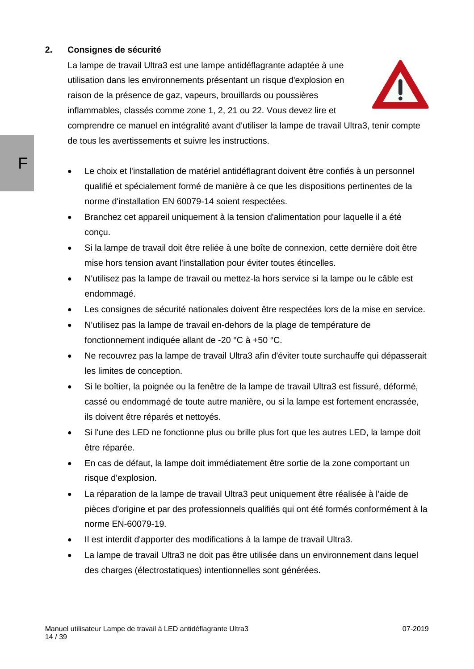#### **2. Consignes de sécurité**

La lampe de travail Ultra3 est une lampe antidéflagrante adaptée à une utilisation dans les environnements présentant un risque d'explosion en raison de la présence de gaz, vapeurs, brouillards ou poussières inflammables, classés comme zone 1, 2, 21 ou 22. Vous devez lire et



comprendre ce manuel en intégralité avant d'utiliser la lampe de travail Ultra3, tenir compte de tous les avertissements et suivre les instructions.

- Le choix et l'installation de matériel antidéflagrant doivent être confiés à un personnel qualifié et spécialement formé de manière à ce que les dispositions pertinentes de la norme d'installation EN 60079-14 soient respectées.
- Branchez cet appareil uniquement à la tension d'alimentation pour laquelle il a été conçu.
- Si la lampe de travail doit être reliée à une boîte de connexion, cette dernière doit être mise hors tension avant l'installation pour éviter toutes étincelles.
- N'utilisez pas la lampe de travail ou mettez-la hors service si la lampe ou le câble est endommagé.
- Les consignes de sécurité nationales doivent être respectées lors de la mise en service.
- N'utilisez pas la lampe de travail en-dehors de la plage de température de fonctionnement indiquée allant de -20 °C à +50 °C.
- Ne recouvrez pas la lampe de travail Ultra3 afin d'éviter toute surchauffe qui dépasserait les limites de conception.
- Si le boîtier, la poignée ou la fenêtre de la lampe de travail Ultra3 est fissuré, déformé, cassé ou endommagé de toute autre manière, ou si la lampe est fortement encrassée, ils doivent être réparés et nettoyés.
- Si l'une des LED ne fonctionne plus ou brille plus fort que les autres LED, la lampe doit être réparée.
- En cas de défaut, la lampe doit immédiatement être sortie de la zone comportant un risque d'explosion.
- La réparation de la lampe de travail Ultra3 peut uniquement être réalisée à l'aide de pièces d'origine et par des professionnels qualifiés qui ont été formés conformément à la norme EN-60079-19.
- Il est interdit d'apporter des modifications à la lampe de travail Ultra3.
- La lampe de travail Ultra3 ne doit pas être utilisée dans un environnement dans lequel des charges (électrostatiques) intentionnelles sont générées.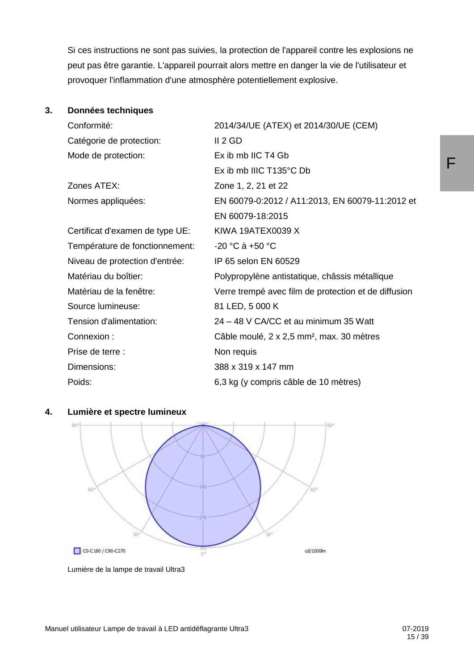Si ces instructions ne sont pas suivies, la protection de l'appareil contre les explosions ne peut pas être garantie. L'appareil pourrait alors mettre en danger la vie de l'utilisateur et provoquer l'inflammation d'une atmosphère potentiellement explosive.

#### **3. Données techniques**

| Conformité:                     | 2014/34/UE (ATEX) et 2014/30/UE (CEM)                 |
|---------------------------------|-------------------------------------------------------|
| Catégorie de protection:        | II 2 GD                                               |
| Mode de protection:             | Ex ib mb IIC T4 Gb                                    |
|                                 | Ex ib mb IIIC T135°C Db                               |
| Zones ATEX:                     | Zone 1, 2, 21 et 22                                   |
| Normes appliquées:              | EN 60079-0:2012 / A11:2013, EN 60079-11:2012 et       |
|                                 | EN 60079-18:2015                                      |
| Certificat d'examen de type UE: | KIWA 19ATEX0039 X                                     |
| Température de fonctionnement:  | $-20 °C$ à $+50 °C$                                   |
| Niveau de protection d'entrée:  | IP 65 selon EN 60529                                  |
| Matériau du boîtier:            | Polypropylène antistatique, châssis métallique        |
| Matériau de la fenêtre:         | Verre trempé avec film de protection et de diffusion  |
| Source lumineuse:               | 81 LED, 5 000 K                                       |
| Tension d'alimentation:         | 24 - 48 V CA/CC et au minimum 35 Watt                 |
| Connexion:                      | Câble moulé, 2 x 2,5 mm <sup>2</sup> , max. 30 mètres |
| Prise de terre :                | Non requis                                            |
| Dimensions:                     | 388 x 319 x 147 mm                                    |
| Poids:                          | 6,3 kg (y compris câble de 10 mètres)                 |



**4. Lumière et spectre lumineux**

Lumière de la lampe de travail Ultra3

F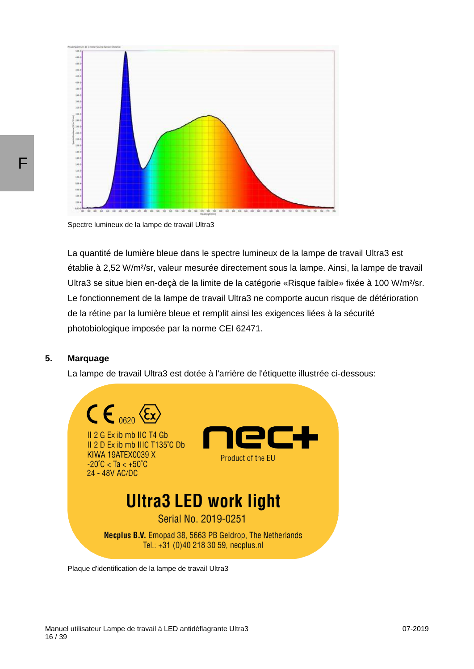

Spectre lumineux de la lampe de travail Ultra3

La quantité de lumière bleue dans le spectre lumineux de la lampe de travail Ultra3 est établie à 2,52 W/m²/sr, valeur mesurée directement sous la lampe. Ainsi, la lampe de travail Ultra3 se situe bien en-decà de la limite de la catégorie «Risque faible» fixée à 100 W/m<sup>2</sup>/sr. Le fonctionnement de la lampe de travail Ultra3 ne comporte aucun risque de détérioration de la rétine par la lumière bleue et remplit ainsi les exigences liées à la sécurité photobiologique imposée par la norme CEI 62471.

#### **5. Marquage**

La lampe de travail Ultra3 est dotée à l'arrière de l'étiquette illustrée ci-dessous:



Plaque d'identification de la lampe de travail Ultra3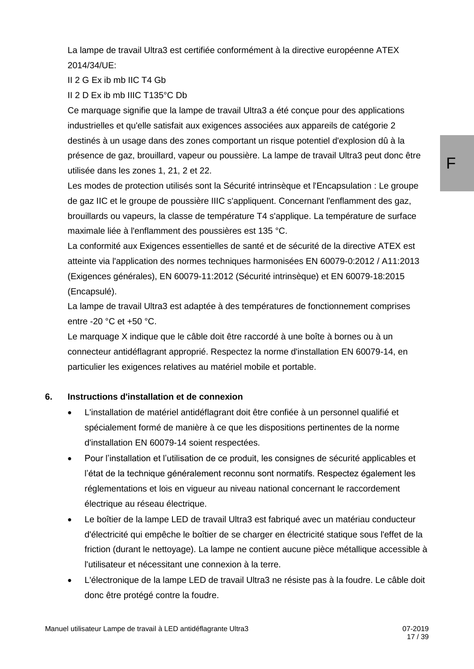La lampe de travail Ultra3 est certifiée conformément à la directive européenne ATEX 2014/34/UE:

II 2 G Ex ib mb IIC T4 Gb

II 2 D Ex ib mb IIIC T135°C Db

Ce marquage signifie que la lampe de travail Ultra3 a été conçue pour des applications industrielles et qu'elle satisfait aux exigences associées aux appareils de catégorie 2 destinés à un usage dans des zones comportant un risque potentiel d'explosion dû à la présence de gaz, brouillard, vapeur ou poussière. La lampe de travail Ultra3 peut donc être utilisée dans les zones 1, 21, 2 et 22.

Les modes de protection utilisés sont la Sécurité intrinsèque et l'Encapsulation : Le groupe de gaz IIC et le groupe de poussière IIIC s'appliquent. Concernant l'enflamment des gaz, brouillards ou vapeurs, la classe de température T4 s'applique. La température de surface maximale liée à l'enflamment des poussières est 135 °C.

La conformité aux Exigences essentielles de santé et de sécurité de la directive ATEX est atteinte via l'application des normes techniques harmonisées EN 60079-0:2012 / A11:2013 (Exigences générales), EN 60079-11:2012 (Sécurité intrinsèque) et EN 60079-18:2015 (Encapsulé).

La lampe de travail Ultra3 est adaptée à des températures de fonctionnement comprises entre -20 °C et +50 °C.

Le marquage X indique que le câble doit être raccordé à une boîte à bornes ou à un connecteur antidéflagrant approprié. Respectez la norme d'installation EN 60079-14, en particulier les exigences relatives au matériel mobile et portable.

#### **6. Instructions d'installation et de connexion**

- L'installation de matériel antidéflagrant doit être confiée à un personnel qualifié et spécialement formé de manière à ce que les dispositions pertinentes de la norme d'installation EN 60079-14 soient respectées.
- Pour l'installation et l'utilisation de ce produit, les consignes de sécurité applicables et l'état de la technique généralement reconnu sont normatifs. Respectez également les réglementations et lois en vigueur au niveau national concernant le raccordement électrique au réseau électrique.
- Le boîtier de la lampe LED de travail Ultra3 est fabriqué avec un matériau conducteur d'électricité qui empêche le boîtier de se charger en électricité statique sous l'effet de la friction (durant le nettoyage). La lampe ne contient aucune pièce métallique accessible à l'utilisateur et nécessitant une connexion à la terre.
- L'électronique de la lampe LED de travail Ultra3 ne résiste pas à la foudre. Le câble doit donc être protégé contre la foudre.

F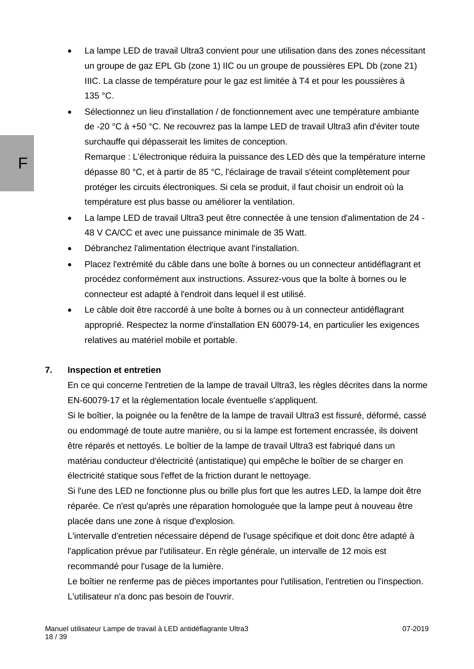- La lampe LED de travail Ultra3 convient pour une utilisation dans des zones nécessitant un groupe de gaz EPL Gb (zone 1) IIC ou un groupe de poussières EPL Db (zone 21) IIIC. La classe de température pour le gaz est limitée à T4 et pour les poussières à 135 °C.
- Sélectionnez un lieu d'installation / de fonctionnement avec une température ambiante de -20 °C à +50 °C. Ne recouvrez pas la lampe LED de travail Ultra3 afin d'éviter toute surchauffe qui dépasserait les limites de conception. Remarque : L'électronique réduira la puissance des LED dès que la température interne dépasse 80 °C, et à partir de 85 °C, l'éclairage de travail s'éteint complètement pour protéger les circuits électroniques. Si cela se produit, il faut choisir un endroit où la température est plus basse ou améliorer la ventilation.
- La lampe LED de travail Ultra3 peut être connectée à une tension d'alimentation de 24 48 V CA/CC et avec une puissance minimale de 35 Watt.
- Débranchez l'alimentation électrique avant l'installation.
- Placez l'extrémité du câble dans une boîte à bornes ou un connecteur antidéflagrant et procédez conformément aux instructions. Assurez-vous que la boîte à bornes ou le connecteur est adapté à l'endroit dans lequel il est utilisé.
- Le câble doit être raccordé à une boîte à bornes ou à un connecteur antidéflagrant approprié. Respectez la norme d'installation EN 60079-14, en particulier les exigences relatives au matériel mobile et portable.

#### **7. Inspection et entretien**

En ce qui concerne l'entretien de la lampe de travail Ultra3, les règles décrites dans la norme EN-60079-17 et la règlementation locale éventuelle s'appliquent.

Si le boîtier, la poignée ou la fenêtre de la lampe de travail Ultra3 est fissuré, déformé, cassé ou endommagé de toute autre manière, ou si la lampe est fortement encrassée, ils doivent être réparés et nettoyés. Le boîtier de la lampe de travail Ultra3 est fabriqué dans un matériau conducteur d'électricité (antistatique) qui empêche le boîtier de se charger en électricité statique sous l'effet de la friction durant le nettoyage.

Si l'une des LED ne fonctionne plus ou brille plus fort que les autres LED, la lampe doit être réparée. Ce n'est qu'après une réparation homologuée que la lampe peut à nouveau être placée dans une zone à risque d'explosion.

L'intervalle d'entretien nécessaire dépend de l'usage spécifique et doit donc être adapté à l'application prévue par l'utilisateur. En règle générale, un intervalle de 12 mois est recommandé pour l'usage de la lumière.

Le boîtier ne renferme pas de pièces importantes pour l'utilisation, l'entretien ou l'inspection. L'utilisateur n'a donc pas besoin de l'ouvrir.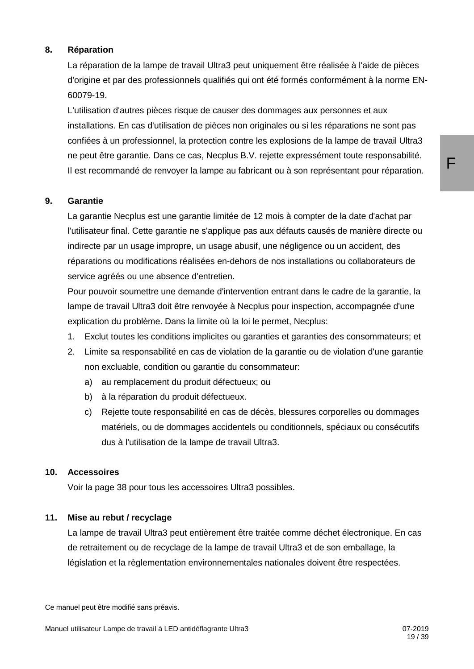#### **8. Réparation**

La réparation de la lampe de travail Ultra3 peut uniquement être réalisée à l'aide de pièces d'origine et par des professionnels qualifiés qui ont été formés conformément à la norme EN-60079-19.

L'utilisation d'autres pièces risque de causer des dommages aux personnes et aux installations. En cas d'utilisation de pièces non originales ou si les réparations ne sont pas confiées à un professionnel, la protection contre les explosions de la lampe de travail Ultra3 ne peut être garantie. Dans ce cas, Necplus B.V. rejette expressément toute responsabilité. Il est recommandé de renvoyer la lampe au fabricant ou à son représentant pour réparation.

#### **9. Garantie**

La garantie Necplus est une garantie limitée de 12 mois à compter de la date d'achat par l'utilisateur final. Cette garantie ne s'applique pas aux défauts causés de manière directe ou indirecte par un usage impropre, un usage abusif, une négligence ou un accident, des réparations ou modifications réalisées en-dehors de nos installations ou collaborateurs de service agréés ou une absence d'entretien.

Pour pouvoir soumettre une demande d'intervention entrant dans le cadre de la garantie, la lampe de travail Ultra3 doit être renvoyée à Necplus pour inspection, accompagnée d'une explication du problème. Dans la limite où la loi le permet, Necplus:

- 1. Exclut toutes les conditions implicites ou garanties et garanties des consommateurs; et
- 2. Limite sa responsabilité en cas de violation de la garantie ou de violation d'une garantie non excluable, condition ou garantie du consommateur:
	- a) au remplacement du produit défectueux; ou
	- b) à la réparation du produit défectueux.
	- c) Rejette toute responsabilité en cas de décès, blessures corporelles ou dommages matériels, ou de dommages accidentels ou conditionnels, spéciaux ou consécutifs dus à l'utilisation de la lampe de travail Ultra3.

#### **10. Accessoires**

Voir la page 38 pour tous les accessoires Ultra3 possibles.

#### **11. Mise au rebut / recyclage**

La lampe de travail Ultra3 peut entièrement être traitée comme déchet électronique. En cas de retraitement ou de recyclage de la lampe de travail Ultra3 et de son emballage, la législation et la règlementation environnementales nationales doivent être respectées.

Ce manuel peut être modifié sans préavis.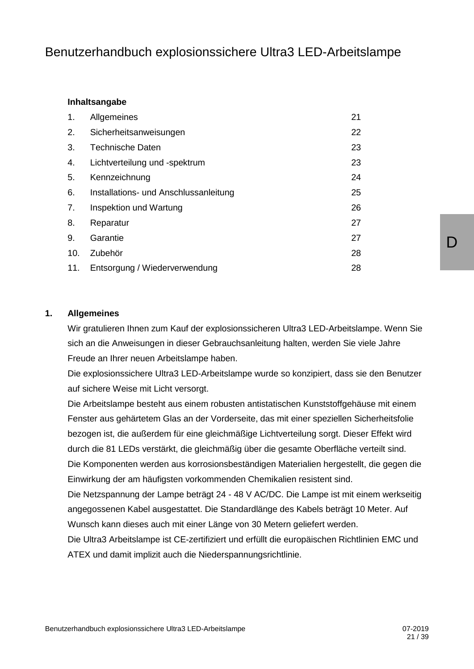## Benutzerhandbuch explosionssichere Ultra3 LED-Arbeitslampe

#### **Inhaltsangabe**

| 1.  | Allgemeines                           | 21 |
|-----|---------------------------------------|----|
| 2.  | Sicherheitsanweisungen                | 22 |
| 3.  | <b>Technische Daten</b>               | 23 |
| 4.  | Lichtverteilung und -spektrum         | 23 |
| 5.  | Kennzeichnung                         | 24 |
| 6.  | Installations- und Anschlussanleitung | 25 |
| 7.  | Inspektion und Wartung                | 26 |
| 8.  | Reparatur                             | 27 |
| 9.  | Garantie                              | 27 |
| 10. | Zubehör                               | 28 |
| 11. | Entsorgung / Wiederverwendung         | 28 |

#### **1. Allgemeines**

Wir gratulieren Ihnen zum Kauf der explosionssicheren Ultra3 LED-Arbeitslampe. Wenn Sie sich an die Anweisungen in dieser Gebrauchsanleitung halten, werden Sie viele Jahre Freude an Ihrer neuen Arbeitslampe haben.

Die explosionssichere Ultra3 LED-Arbeitslampe wurde so konzipiert, dass sie den Benutzer auf sichere Weise mit Licht versorgt.

Die Arbeitslampe besteht aus einem robusten antistatischen Kunststoffgehäuse mit einem Fenster aus gehärtetem Glas an der Vorderseite, das mit einer speziellen Sicherheitsfolie bezogen ist, die außerdem für eine gleichmäßige Lichtverteilung sorgt. Dieser Effekt wird durch die 81 LEDs verstärkt, die gleichmäßig über die gesamte Oberfläche verteilt sind. Die Komponenten werden aus korrosionsbeständigen Materialien hergestellt, die gegen die Einwirkung der am häufigsten vorkommenden Chemikalien resistent sind.

Die Netzspannung der Lampe beträgt 24 - 48 V AC/DC. Die Lampe ist mit einem werkseitig angegossenen Kabel ausgestattet. Die Standardlänge des Kabels beträgt 10 Meter. Auf Wunsch kann dieses auch mit einer Länge von 30 Metern geliefert werden.

Die Ultra3 Arbeitslampe ist CE-zertifiziert und erfüllt die europäischen Richtlinien EMC und ATEX und damit implizit auch die Niederspannungsrichtlinie.

D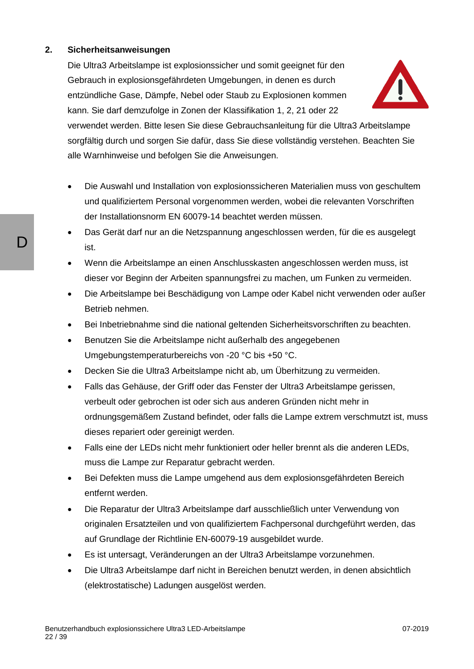#### **2. Sicherheitsanweisungen**

Die Ultra3 Arbeitslampe ist explosionssicher und somit geeignet für den Gebrauch in explosionsgefährdeten Umgebungen, in denen es durch entzündliche Gase, Dämpfe, Nebel oder Staub zu Explosionen kommen kann. Sie darf demzufolge in Zonen der Klassifikation 1, 2, 21 oder 22



verwendet werden. Bitte lesen Sie diese Gebrauchsanleitung für die Ultra3 Arbeitslampe sorgfältig durch und sorgen Sie dafür, dass Sie diese vollständig verstehen. Beachten Sie alle Warnhinweise und befolgen Sie die Anweisungen.

- Die Auswahl und Installation von explosionssicheren Materialien muss von geschultem und qualifiziertem Personal vorgenommen werden, wobei die relevanten Vorschriften der Installationsnorm EN 60079-14 beachtet werden müssen.
- Das Gerät darf nur an die Netzspannung angeschlossen werden, für die es ausgelegt ist.
- Wenn die Arbeitslampe an einen Anschlusskasten angeschlossen werden muss, ist dieser vor Beginn der Arbeiten spannungsfrei zu machen, um Funken zu vermeiden.
- Die Arbeitslampe bei Beschädigung von Lampe oder Kabel nicht verwenden oder außer Betrieb nehmen.
- Bei Inbetriebnahme sind die national geltenden Sicherheitsvorschriften zu beachten.
- Benutzen Sie die Arbeitslampe nicht außerhalb des angegebenen Umgebungstemperaturbereichs von -20 °C bis +50 °C.
- Decken Sie die Ultra3 Arbeitslampe nicht ab, um Überhitzung zu vermeiden.
- Falls das Gehäuse, der Griff oder das Fenster der Ultra3 Arbeitslampe gerissen, verbeult oder gebrochen ist oder sich aus anderen Gründen nicht mehr in ordnungsgemäßem Zustand befindet, oder falls die Lampe extrem verschmutzt ist, muss dieses repariert oder gereinigt werden.
- Falls eine der LEDs nicht mehr funktioniert oder heller brennt als die anderen LEDs, muss die Lampe zur Reparatur gebracht werden.
- Bei Defekten muss die Lampe umgehend aus dem explosionsgefährdeten Bereich entfernt werden.
- Die Reparatur der Ultra3 Arbeitslampe darf ausschließlich unter Verwendung von originalen Ersatzteilen und von qualifiziertem Fachpersonal durchgeführt werden, das auf Grundlage der Richtlinie EN-60079-19 ausgebildet wurde.
- Es ist untersagt, Veränderungen an der Ultra3 Arbeitslampe vorzunehmen.
- Die Ultra3 Arbeitslampe darf nicht in Bereichen benutzt werden, in denen absichtlich (elektrostatische) Ladungen ausgelöst werden.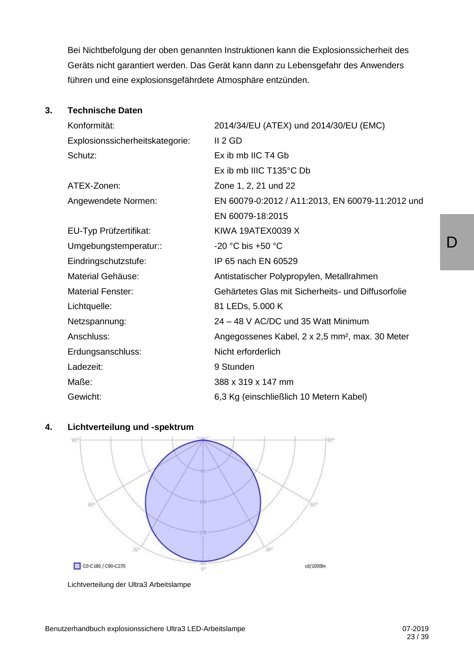Bei Nichtbefolgung der oben genannten Instruktionen kann die Explosionssicherheit des Geräts nicht garantiert werden. Das Gerät kann dann zu Lebensgefahr des Anwenders führen und eine explosionsgefährdete Atmosphäre entzünden.

#### **3. Technische Daten**

| Konformität:                    | 2014/34/EU (ATEX) und 2014/30/EU (EMC)                      |
|---------------------------------|-------------------------------------------------------------|
| Explosionssicherheitskategorie: | II 2 GD                                                     |
| Schutz:                         | Ex ib mb IIC T4 Gb                                          |
|                                 | Ex ib mb IIIC $T135^{\circ}$ C Db                           |
| ATEX-Zonen:                     | Zone 1, 2, 21 und 22                                        |
| Angewendete Normen:             | EN 60079-0:2012 / A11:2013, EN 60079-11:2012 und            |
|                                 | EN 60079-18:2015                                            |
| EU-Typ Prüfzertifikat:          | KIWA 19ATEX0039 X                                           |
| Umgebungstemperatur::           | $-20$ °C bis $+50$ °C                                       |
| Eindringschutzstufe:            | IP 65 nach EN 60529                                         |
| Material Gehäuse:               | Antistatischer Polypropylen, Metallrahmen                   |
| <b>Material Fenster:</b>        | Gehärtetes Glas mit Sicherheits- und Diffusorfolie          |
| Lichtquelle:                    | 81 LEDs, 5.000 K                                            |
| Netzspannung:                   | 24 – 48 V AC/DC und 35 Watt Minimum                         |
| Anschluss:                      | Angegossenes Kabel, 2 x 2,5 mm <sup>2</sup> , max. 30 Meter |
| Erdungsanschluss:               | Nicht erforderlich                                          |
| Ladezeit:                       | 9 Stunden                                                   |
| Maße:                           | 388 x 319 x 147 mm                                          |
| Gewicht:                        | 6,3 Kg (einschließlich 10 Metern Kabel)                     |

#### **4. Lichtverteilung und -spektrum**  $90<sup>1</sup>$



Lichtverteilung der Ultra3 Arbeitslampe

 $\mathsf{D}$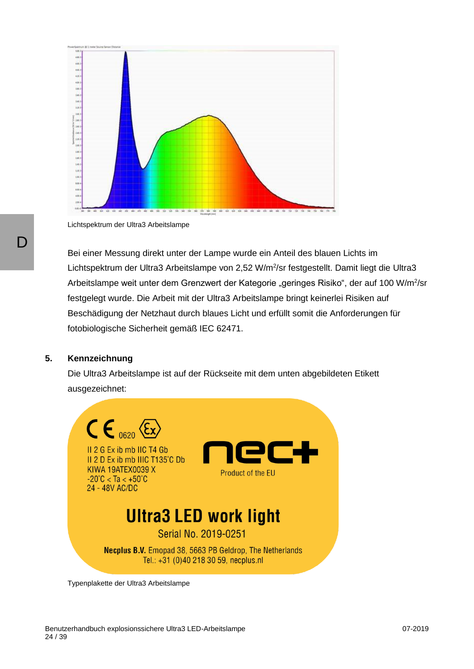

Lichtspektrum der Ultra3 Arbeitslampe

Bei einer Messung direkt unter der Lampe wurde ein Anteil des blauen Lichts im Lichtspektrum der Ultra3 Arbeitslampe von 2,52 W/m<sup>2</sup>/sr festgestellt. Damit liegt die Ultra3 Arbeitslampe weit unter dem Grenzwert der Kategorie "geringes Risiko", der auf 100 W/m<sup>2</sup>/sr festgelegt wurde. Die Arbeit mit der Ultra3 Arbeitslampe bringt keinerlei Risiken auf Beschädigung der Netzhaut durch blaues Licht und erfüllt somit die Anforderungen für fotobiologische Sicherheit gemäß IEC 62471.

#### **5. Kennzeichnung**

Die Ultra3 Arbeitslampe ist auf der Rückseite mit dem unten abgebildeten Etikett ausgezeichnet:



Typenplakette der Ultra3 Arbeitslampe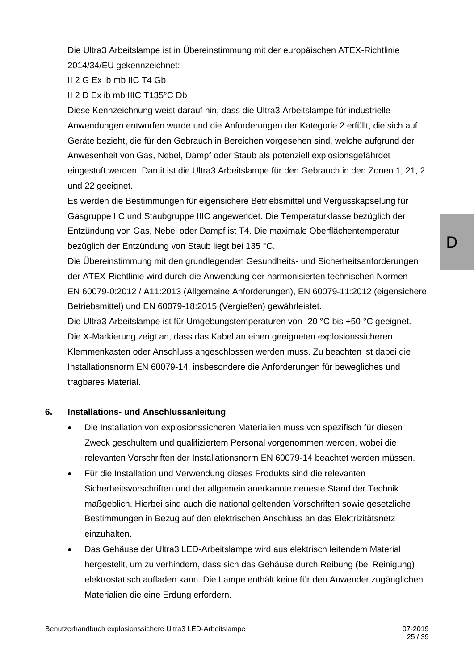Die Ultra3 Arbeitslampe ist in Übereinstimmung mit der europäischen ATEX-Richtlinie 2014/34/EU gekennzeichnet:

II 2 G Ex ib mb IIC T4 Gb

II 2 D Ex ib mb IIIC T135°C Db

Diese Kennzeichnung weist darauf hin, dass die Ultra3 Arbeitslampe für industrielle Anwendungen entworfen wurde und die Anforderungen der Kategorie 2 erfüllt, die sich auf Geräte bezieht, die für den Gebrauch in Bereichen vorgesehen sind, welche aufgrund der Anwesenheit von Gas, Nebel, Dampf oder Staub als potenziell explosionsgefährdet eingestuft werden. Damit ist die Ultra3 Arbeitslampe für den Gebrauch in den Zonen 1, 21, 2 und 22 geeignet.

Es werden die Bestimmungen für eigensichere Betriebsmittel und Vergusskapselung für Gasgruppe IIC und Staubgruppe IIIC angewendet. Die Temperaturklasse bezüglich der Entzündung von Gas, Nebel oder Dampf ist T4. Die maximale Oberflächentemperatur bezüglich der Entzündung von Staub liegt bei 135 °C.

Die Übereinstimmung mit den grundlegenden Gesundheits- und Sicherheitsanforderungen der ATEX-Richtlinie wird durch die Anwendung der harmonisierten technischen Normen EN 60079-0:2012 / A11:2013 (Allgemeine Anforderungen), EN 60079-11:2012 (eigensichere Betriebsmittel) und EN 60079-18:2015 (Vergießen) gewährleistet.

Die Ultra3 Arbeitslampe ist für Umgebungstemperaturen von -20 °C bis +50 °C geeignet. Die X-Markierung zeigt an, dass das Kabel an einen geeigneten explosionssicheren Klemmenkasten oder Anschluss angeschlossen werden muss. Zu beachten ist dabei die Installationsnorm EN 60079-14, insbesondere die Anforderungen für bewegliches und tragbares Material.

#### **6. Installations- und Anschlussanleitung**

- Die Installation von explosionssicheren Materialien muss von spezifisch für diesen Zweck geschultem und qualifiziertem Personal vorgenommen werden, wobei die relevanten Vorschriften der Installationsnorm EN 60079-14 beachtet werden müssen.
- Für die Installation und Verwendung dieses Produkts sind die relevanten Sicherheitsvorschriften und der allgemein anerkannte neueste Stand der Technik maßgeblich. Hierbei sind auch die national geltenden Vorschriften sowie gesetzliche Bestimmungen in Bezug auf den elektrischen Anschluss an das Elektrizitätsnetz einzuhalten.
- Das Gehäuse der Ultra3 LED-Arbeitslampe wird aus elektrisch leitendem Material hergestellt, um zu verhindern, dass sich das Gehäuse durch Reibung (bei Reinigung) elektrostatisch aufladen kann. Die Lampe enthält keine für den Anwender zugänglichen Materialien die eine Erdung erfordern.

D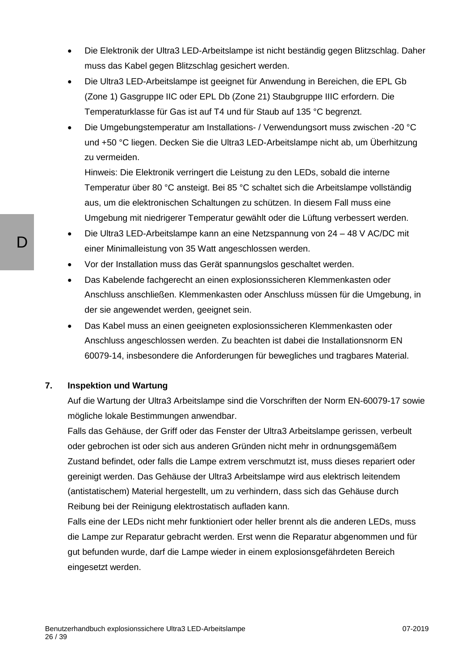- Die Elektronik der Ultra3 LED-Arbeitslampe ist nicht beständig gegen Blitzschlag. Daher muss das Kabel gegen Blitzschlag gesichert werden.
- Die Ultra3 LED-Arbeitslampe ist geeignet für Anwendung in Bereichen, die EPL Gb (Zone 1) Gasgruppe IIC oder EPL Db (Zone 21) Staubgruppe IIIC erfordern. Die Temperaturklasse für Gas ist auf T4 und für Staub auf 135 °C begrenzt.
- Die Umgebungstemperatur am Installations- / Verwendungsort muss zwischen -20 °C und +50 °C liegen. Decken Sie die Ultra3 LED-Arbeitslampe nicht ab, um Überhitzung zu vermeiden.

Hinweis: Die Elektronik verringert die Leistung zu den LEDs, sobald die interne Temperatur über 80 °C ansteigt. Bei 85 °C schaltet sich die Arbeitslampe vollständig aus, um die elektronischen Schaltungen zu schützen. In diesem Fall muss eine Umgebung mit niedrigerer Temperatur gewählt oder die Lüftung verbessert werden.

- Die Ultra3 LED-Arbeitslampe kann an eine Netzspannung von 24 48 V AC/DC mit einer Minimalleistung von 35 Watt angeschlossen werden.
- Vor der Installation muss das Gerät spannungslos geschaltet werden.
- Das Kabelende fachgerecht an einen explosionssicheren Klemmenkasten oder Anschluss anschließen. Klemmenkasten oder Anschluss müssen für die Umgebung, in der sie angewendet werden, geeignet sein.
- Das Kabel muss an einen geeigneten explosionssicheren Klemmenkasten oder Anschluss angeschlossen werden. Zu beachten ist dabei die Installationsnorm EN 60079-14, insbesondere die Anforderungen für bewegliches und tragbares Material.

#### **7. Inspektion und Wartung**

Auf die Wartung der Ultra3 Arbeitslampe sind die Vorschriften der Norm EN-60079-17 sowie mögliche lokale Bestimmungen anwendbar.

Falls das Gehäuse, der Griff oder das Fenster der Ultra3 Arbeitslampe gerissen, verbeult oder gebrochen ist oder sich aus anderen Gründen nicht mehr in ordnungsgemäßem Zustand befindet, oder falls die Lampe extrem verschmutzt ist, muss dieses repariert oder gereinigt werden. Das Gehäuse der Ultra3 Arbeitslampe wird aus elektrisch leitendem (antistatischem) Material hergestellt, um zu verhindern, dass sich das Gehäuse durch Reibung bei der Reinigung elektrostatisch aufladen kann.

Falls eine der LEDs nicht mehr funktioniert oder heller brennt als die anderen LEDs, muss die Lampe zur Reparatur gebracht werden. Erst wenn die Reparatur abgenommen und für gut befunden wurde, darf die Lampe wieder in einem explosionsgefährdeten Bereich eingesetzt werden.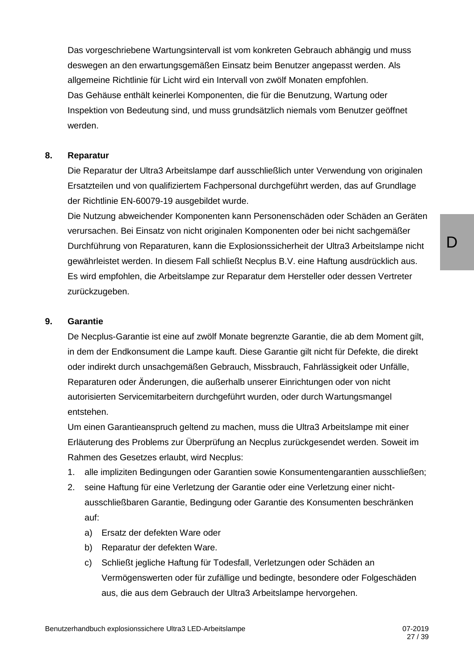Das vorgeschriebene Wartungsintervall ist vom konkreten Gebrauch abhängig und muss deswegen an den erwartungsgemäßen Einsatz beim Benutzer angepasst werden. Als allgemeine Richtlinie für Licht wird ein Intervall von zwölf Monaten empfohlen. Das Gehäuse enthält keinerlei Komponenten, die für die Benutzung, Wartung oder Inspektion von Bedeutung sind, und muss grundsätzlich niemals vom Benutzer geöffnet werden.

#### **8. Reparatur**

Die Reparatur der Ultra3 Arbeitslampe darf ausschließlich unter Verwendung von originalen Ersatzteilen und von qualifiziertem Fachpersonal durchgeführt werden, das auf Grundlage der Richtlinie EN-60079-19 ausgebildet wurde.

Die Nutzung abweichender Komponenten kann Personenschäden oder Schäden an Geräten verursachen. Bei Einsatz von nicht originalen Komponenten oder bei nicht sachgemäßer Durchführung von Reparaturen, kann die Explosionssicherheit der Ultra3 Arbeitslampe nicht gewährleistet werden. In diesem Fall schließt Necplus B.V. eine Haftung ausdrücklich aus. Es wird empfohlen, die Arbeitslampe zur Reparatur dem Hersteller oder dessen Vertreter zurückzugeben.

#### **9. Garantie**

De Necplus-Garantie ist eine auf zwölf Monate begrenzte Garantie, die ab dem Moment gilt, in dem der Endkonsument die Lampe kauft. Diese Garantie gilt nicht für Defekte, die direkt oder indirekt durch unsachgemäßen Gebrauch, Missbrauch, Fahrlässigkeit oder Unfälle, Reparaturen oder Änderungen, die außerhalb unserer Einrichtungen oder von nicht autorisierten Servicemitarbeitern durchgeführt wurden, oder durch Wartungsmangel entstehen.

Um einen Garantieanspruch geltend zu machen, muss die Ultra3 Arbeitslampe mit einer Erläuterung des Problems zur Überprüfung an Necplus zurückgesendet werden. Soweit im Rahmen des Gesetzes erlaubt, wird Necplus:

- 1. alle impliziten Bedingungen oder Garantien sowie Konsumentengarantien ausschließen;
- 2. seine Haftung für eine Verletzung der Garantie oder eine Verletzung einer nichtausschließbaren Garantie, Bedingung oder Garantie des Konsumenten beschränken auf:
	- a) Ersatz der defekten Ware oder
	- b) Reparatur der defekten Ware.
	- c) Schließt jegliche Haftung für Todesfall, Verletzungen oder Schäden an Vermögenswerten oder für zufällige und bedingte, besondere oder Folgeschäden aus, die aus dem Gebrauch der Ultra3 Arbeitslampe hervorgehen.

 $\mathsf{D}$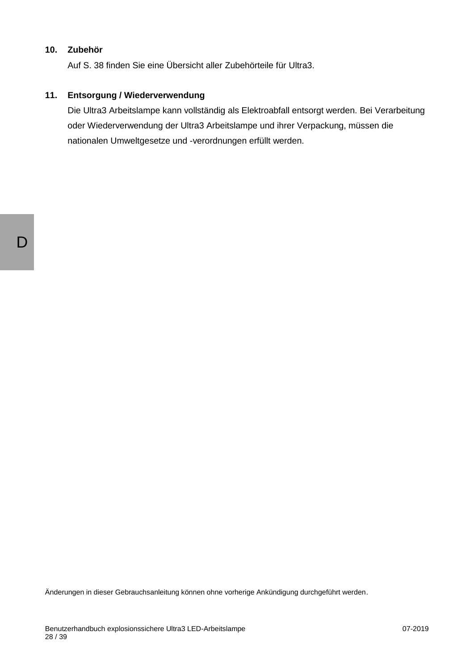#### **10. Zubehör**

Auf S. 38 finden Sie eine Übersicht aller Zubehörteile für Ultra3.

#### **11. Entsorgung / Wiederverwendung**

Die Ultra3 Arbeitslampe kann vollständig als Elektroabfall entsorgt werden. Bei Verarbeitung oder Wiederverwendung der Ultra3 Arbeitslampe und ihrer Verpackung, müssen die nationalen Umweltgesetze und -verordnungen erfüllt werden.

Änderungen in dieser Gebrauchsanleitung können ohne vorherige Ankündigung durchgeführt werden.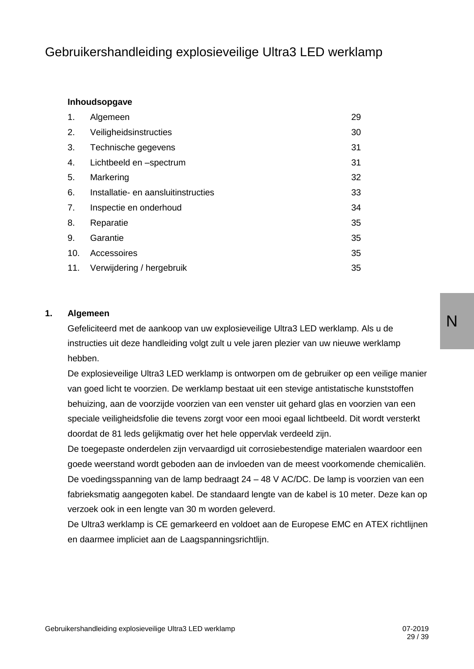## Gebruikershandleiding explosieveilige Ultra3 LED werklamp

#### **Inhoudsopgave**

| 1.  | Algemeen                            | 29 |
|-----|-------------------------------------|----|
| 2.  | Veiligheidsinstructies              | 30 |
| 3.  | Technische gegevens                 | 31 |
| 4.  | Lichtbeeld en -spectrum             | 31 |
| 5.  | Markering                           | 32 |
| 6.  | Installatie- en aansluitinstructies | 33 |
| 7.  | Inspectie en onderhoud              | 34 |
| 8.  | Reparatie                           | 35 |
| 9.  | Garantie                            | 35 |
| 10. | Accessoires                         | 35 |
| 11. | Verwijdering / hergebruik           | 35 |

#### **1. Algemeen**

Gefeliciteerd met de aankoop van uw explosieveilige Ultra3 LED werklamp. Als u de instructies uit deze handleiding volgt zult u vele jaren plezier van uw nieuwe werklamp hebben.

De explosieveilige Ultra3 LED werklamp is ontworpen om de gebruiker op een veilige manier van goed licht te voorzien. De werklamp bestaat uit een stevige antistatische kunststoffen behuizing, aan de voorzijde voorzien van een venster uit gehard glas en voorzien van een speciale veiligheidsfolie die tevens zorgt voor een mooi egaal lichtbeeld. Dit wordt versterkt doordat de 81 leds gelijkmatig over het hele oppervlak verdeeld zijn.

De toegepaste onderdelen zijn vervaardigd uit corrosiebestendige materialen waardoor een goede weerstand wordt geboden aan de invloeden van de meest voorkomende chemicaliën. De voedingsspanning van de lamp bedraagt 24 – 48 V AC/DC. De lamp is voorzien van een fabrieksmatig aangegoten kabel. De standaard lengte van de kabel is 10 meter. Deze kan op verzoek ook in een lengte van 30 m worden geleverd.

De Ultra3 werklamp is CE gemarkeerd en voldoet aan de Europese EMC en ATEX richtlijnen en daarmee impliciet aan de Laagspanningsrichtlijn.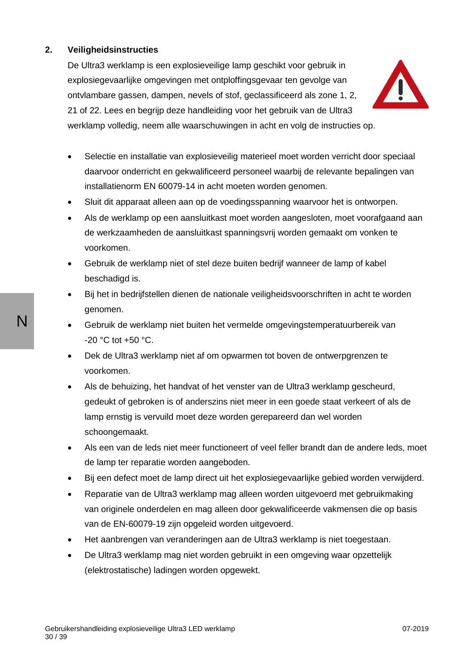#### **2. Veiligheidsinstructies**

De Ultra3 werklamp is een explosieveilige lamp geschikt voor gebruik in explosiegevaarlijke omgevingen met ontploffingsgevaar ten gevolge van ontvlambare gassen, dampen, nevels of stof, geclassificeerd als zone 1, 2, 21 of 22. Lees en begrijp deze handleiding voor het gebruik van de Ultra3 werklamp volledig, neem alle waarschuwingen in acht en volg de instructies op.



- Selectie en installatie van explosieveilig materieel moet worden verricht door speciaal daarvoor onderricht en gekwalificeerd personeel waarbij de relevante bepalingen van installatienorm EN 60079-14 in acht moeten worden genomen.
- Sluit dit apparaat alleen aan op de voedingsspanning waarvoor het is ontworpen.
- Als de werklamp op een aansluitkast moet worden aangesloten, moet voorafgaand aan de werkzaamheden de aansluitkast spanningsvrij worden gemaakt om vonken te voorkomen.
- Gebruik de werklamp niet of stel deze buiten bedrijf wanneer de lamp of kabel beschadigd is.
- Bij het in bedrijfstellen dienen de nationale veiligheidsvoorschriften in acht te worden genomen.
- Gebruik de werklamp niet buiten het vermelde omgevingstemperatuurbereik van -20 °C tot +50 °C.
- Dek de Ultra3 werklamp niet af om opwarmen tot boven de ontwerpgrenzen te voorkomen.
- Als de behuizing, het handvat of het venster van de Ultra3 werklamp gescheurd, gedeukt of gebroken is of anderszins niet meer in een goede staat verkeert of als de lamp ernstig is vervuild moet deze worden gerepareerd dan wel worden schoongemaakt.
- Als een van de leds niet meer functioneert of veel feller brandt dan de andere leds, moet de lamp ter reparatie worden aangeboden.
- Bij een defect moet de lamp direct uit het explosiegevaarlijke gebied worden verwijderd.
- Reparatie van de Ultra3 werklamp mag alleen worden uitgevoerd met gebruikmaking van originele onderdelen en mag alleen door gekwalificeerde vakmensen die op basis van de EN-60079-19 zijn opgeleid worden uitgevoerd.
- Het aanbrengen van veranderingen aan de Ultra3 werklamp is niet toegestaan.
- De Ultra3 werklamp mag niet worden gebruikt in een omgeving waar opzettelijk (elektrostatische) ladingen worden opgewekt.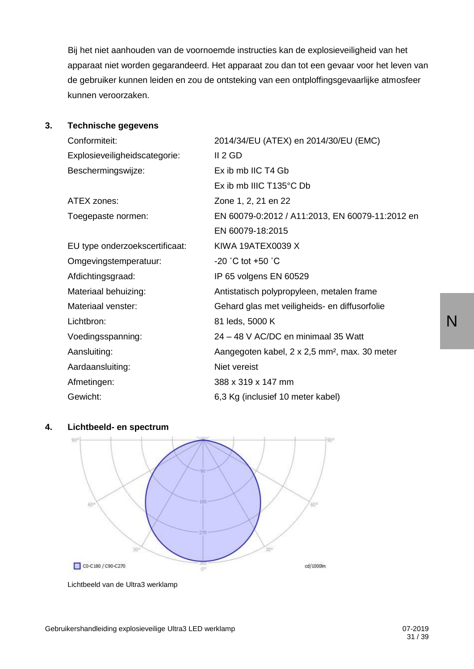Bij het niet aanhouden van de voornoemde instructies kan de explosieveiligheid van het apparaat niet worden gegarandeerd. Het apparaat zou dan tot een gevaar voor het leven van de gebruiker kunnen leiden en zou de ontsteking van een ontploffingsgevaarlijke atmosfeer kunnen veroorzaken.

#### **3. Technische gegevens**

| Conformiteit:                  | 2014/34/EU (ATEX) en 2014/30/EU (EMC)                     |
|--------------------------------|-----------------------------------------------------------|
| Explosieveiligheidscategorie:  | II 2 GD                                                   |
| Beschermingswijze:             | Ex ib mb IIC T4 Gb                                        |
|                                | Ex ib mb IIIC T135°C Db                                   |
| ATEX zones:                    | Zone 1, 2, 21 en 22                                       |
| Toegepaste normen:             | EN 60079-0:2012 / A11:2013, EN 60079-11:2012 en           |
|                                | EN 60079-18:2015                                          |
| EU type onderzoekscertificaat: | KIWA 19ATEX0039 X                                         |
| Omgevingstemperatuur:          | -20 $^{\circ}$ C tot +50 $^{\circ}$ C                     |
| Afdichtingsgraad:              | IP 65 volgens EN 60529                                    |
| Materiaal behuizing:           | Antistatisch polypropyleen, metalen frame                 |
| Materiaal venster:             | Gehard glas met veiligheids- en diffusorfolie             |
| Lichtbron:                     | 81 leds, 5000 K                                           |
| Voedingsspanning:              | 24 - 48 V AC/DC en minimaal 35 Watt                       |
| Aansluiting:                   | Aangegoten kabel, 2 x 2,5 mm <sup>2</sup> , max. 30 meter |
| Aardaansluiting:               | Niet vereist                                              |
| Afmetingen:                    | 388 x 319 x 147 mm                                        |
| Gewicht:                       | 6,3 Kg (inclusief 10 meter kabel)                         |



#### **4. Lichtbeeld- en spectrum**

Lichtbeeld van de Ultra3 werklamp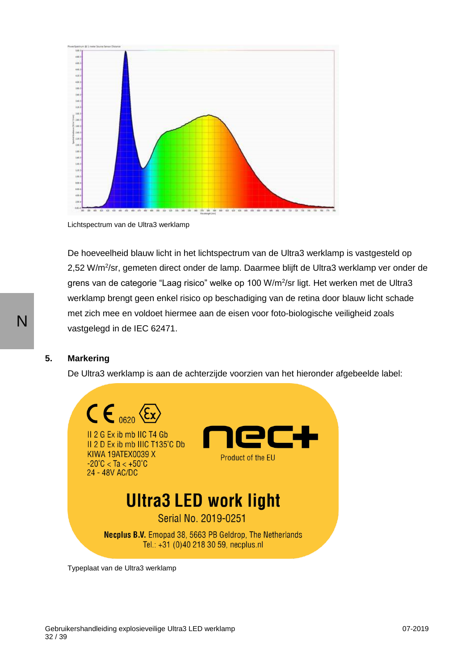

Lichtspectrum van de Ultra3 werklamp

De hoeveelheid blauw licht in het lichtspectrum van de Ultra3 werklamp is vastgesteld op 2,52 W/m<sup>2</sup>/sr, gemeten direct onder de lamp. Daarmee blijft de Ultra3 werklamp ver onder de grens van de categorie "Laag risico" welke op 100 W/m<sup>2</sup>/sr ligt. Het werken met de Ultra3 werklamp brengt geen enkel risico op beschadiging van de retina door blauw licht schade met zich mee en voldoet hiermee aan de eisen voor foto-biologische veiligheid zoals vastgelegd in de IEC 62471.

#### **5. Markering**

De Ultra3 werklamp is aan de achterzijde voorzien van het hieronder afgebeelde label:



Typeplaat van de Ultra3 werklamp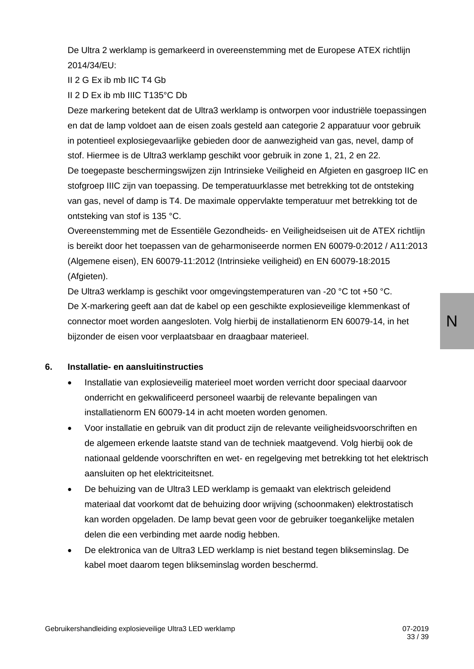De Ultra 2 werklamp is gemarkeerd in overeenstemming met de Europese ATEX richtlijn 2014/34/EU:

II 2 G Ex ib mb IIC T4 Gb

II 2 D Ex ib mb IIIC T135°C Db

Deze markering betekent dat de Ultra3 werklamp is ontworpen voor industriële toepassingen en dat de lamp voldoet aan de eisen zoals gesteld aan categorie 2 apparatuur voor gebruik in potentieel explosiegevaarlijke gebieden door de aanwezigheid van gas, nevel, damp of stof. Hiermee is de Ultra3 werklamp geschikt voor gebruik in zone 1, 21, 2 en 22.

De toegepaste beschermingswijzen zijn Intrinsieke Veiligheid en Afgieten en gasgroep IIC en stofgroep IIIC zijn van toepassing. De temperatuurklasse met betrekking tot de ontsteking van gas, nevel of damp is T4. De maximale oppervlakte temperatuur met betrekking tot de ontsteking van stof is 135 °C.

Overeenstemming met de Essentiële Gezondheids- en Veiligheidseisen uit de ATEX richtlijn is bereikt door het toepassen van de geharmoniseerde normen EN 60079-0:2012 / A11:2013 (Algemene eisen), EN 60079-11:2012 (Intrinsieke veiligheid) en EN 60079-18:2015 (Afgieten).

De Ultra3 werklamp is geschikt voor omgevingstemperaturen van -20 °C tot +50 °C. De X-markering geeft aan dat de kabel op een geschikte explosieveilige klemmenkast of connector moet worden aangesloten. Volg hierbij de installatienorm EN 60079-14, in het bijzonder de eisen voor verplaatsbaar en draagbaar materieel.

#### **6. Installatie- en aansluitinstructies**

- Installatie van explosieveilig materieel moet worden verricht door speciaal daarvoor onderricht en gekwalificeerd personeel waarbij de relevante bepalingen van installatienorm EN 60079-14 in acht moeten worden genomen.
- Voor installatie en gebruik van dit product zijn de relevante veiligheidsvoorschriften en de algemeen erkende laatste stand van de techniek maatgevend. Volg hierbij ook de nationaal geldende voorschriften en wet- en regelgeving met betrekking tot het elektrisch aansluiten op het elektriciteitsnet.
- De behuizing van de Ultra3 LED werklamp is gemaakt van elektrisch geleidend materiaal dat voorkomt dat de behuizing door wrijving (schoonmaken) elektrostatisch kan worden opgeladen. De lamp bevat geen voor de gebruiker toegankelijke metalen delen die een verbinding met aarde nodig hebben.
- De elektronica van de Ultra3 LED werklamp is niet bestand tegen blikseminslag. De kabel moet daarom tegen blikseminslag worden beschermd.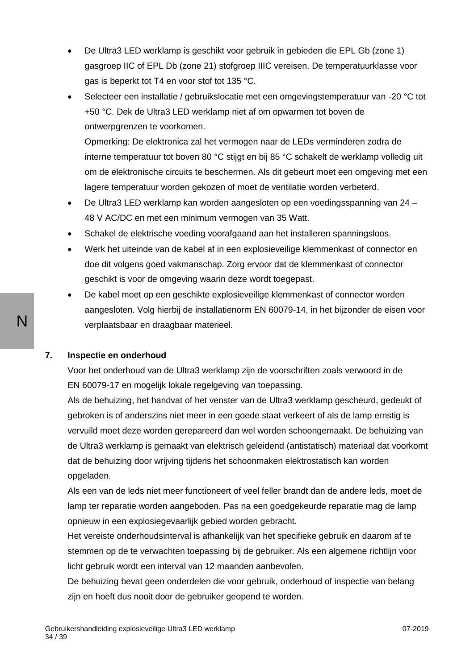- De Ultra3 LED werklamp is geschikt voor gebruik in gebieden die EPL Gb (zone 1) gasgroep IIC of EPL Db (zone 21) stofgroep IIIC vereisen. De temperatuurklasse voor gas is beperkt tot T4 en voor stof tot 135 °C.
- Selecteer een installatie / gebruikslocatie met een omgevingstemperatuur van -20 °C tot +50 °C. Dek de Ultra3 LED werklamp niet af om opwarmen tot boven de ontwerpgrenzen te voorkomen.

Opmerking: De elektronica zal het vermogen naar de LEDs verminderen zodra de interne temperatuur tot boven 80 °C stijgt en bij 85 °C schakelt de werklamp volledig uit om de elektronische circuits te beschermen. Als dit gebeurt moet een omgeving met een lagere temperatuur worden gekozen of moet de ventilatie worden verbeterd.

- De Ultra3 LED werklamp kan worden aangesloten op een voedingsspanning van 24 48 V AC/DC en met een minimum vermogen van 35 Watt.
- Schakel de elektrische voeding voorafgaand aan het installeren spanningsloos.
- Werk het uiteinde van de kabel af in een explosieveilige klemmenkast of connector en doe dit volgens goed vakmanschap. Zorg ervoor dat de klemmenkast of connector geschikt is voor de omgeving waarin deze wordt toegepast.
- De kabel moet op een geschikte explosieveilige klemmenkast of connector worden aangesloten. Volg hierbij de installatienorm EN 60079-14, in het bijzonder de eisen voor verplaatsbaar en draagbaar materieel.

#### **7. Inspectie en onderhoud**

Voor het onderhoud van de Ultra3 werklamp zijn de voorschriften zoals verwoord in de EN 60079-17 en mogelijk lokale regelgeving van toepassing.

Als de behuizing, het handvat of het venster van de Ultra3 werklamp gescheurd, gedeukt of gebroken is of anderszins niet meer in een goede staat verkeert of als de lamp ernstig is vervuild moet deze worden gerepareerd dan wel worden schoongemaakt. De behuizing van de Ultra3 werklamp is gemaakt van elektrisch geleidend (antistatisch) materiaal dat voorkomt dat de behuizing door wrijving tijdens het schoonmaken elektrostatisch kan worden opgeladen.

Als een van de leds niet meer functioneert of veel feller brandt dan de andere leds, moet de lamp ter reparatie worden aangeboden. Pas na een goedgekeurde reparatie mag de lamp opnieuw in een explosiegevaarlijk gebied worden gebracht.

Het vereiste onderhoudsinterval is afhankelijk van het specifieke gebruik en daarom af te stemmen op de te verwachten toepassing bij de gebruiker. Als een algemene richtlijn voor licht gebruik wordt een interval van 12 maanden aanbevolen.

De behuizing bevat geen onderdelen die voor gebruik, onderhoud of inspectie van belang zijn en hoeft dus nooit door de gebruiker geopend te worden.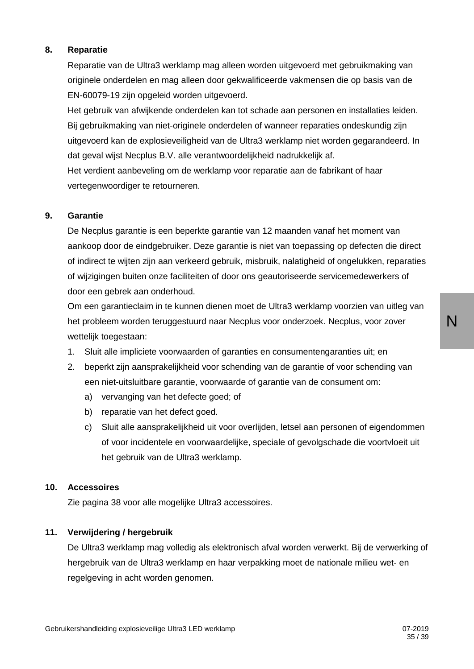#### **8. Reparatie**

Reparatie van de Ultra3 werklamp mag alleen worden uitgevoerd met gebruikmaking van originele onderdelen en mag alleen door gekwalificeerde vakmensen die op basis van de EN-60079-19 zijn opgeleid worden uitgevoerd.

Het gebruik van afwijkende onderdelen kan tot schade aan personen en installaties leiden. Bij gebruikmaking van niet-originele onderdelen of wanneer reparaties ondeskundig zijn uitgevoerd kan de explosieveiligheid van de Ultra3 werklamp niet worden gegarandeerd. In dat geval wijst Necplus B.V. alle verantwoordelijkheid nadrukkelijk af.

Het verdient aanbeveling om de werklamp voor reparatie aan de fabrikant of haar vertegenwoordiger te retourneren.

#### **9. Garantie**

De Necplus garantie is een beperkte garantie van 12 maanden vanaf het moment van aankoop door de eindgebruiker. Deze garantie is niet van toepassing op defecten die direct of indirect te wijten zijn aan verkeerd gebruik, misbruik, nalatigheid of ongelukken, reparaties of wijzigingen buiten onze faciliteiten of door ons geautoriseerde servicemedewerkers of door een gebrek aan onderhoud.

Om een garantieclaim in te kunnen dienen moet de Ultra3 werklamp voorzien van uitleg van het probleem worden teruggestuurd naar Necplus voor onderzoek. Necplus, voor zover wettelijk toegestaan:

- 1. Sluit alle impliciete voorwaarden of garanties en consumentengaranties uit; en
- 2. beperkt zijn aansprakelijkheid voor schending van de garantie of voor schending van een niet-uitsluitbare garantie, voorwaarde of garantie van de consument om:
	- a) vervanging van het defecte goed; of
	- b) reparatie van het defect goed.
	- c) Sluit alle aansprakelijkheid uit voor overlijden, letsel aan personen of eigendommen of voor incidentele en voorwaardelijke, speciale of gevolgschade die voortvloeit uit het gebruik van de Ultra3 werklamp.

#### **10. Accessoires**

Zie pagina 38 voor alle mogelijke Ultra3 accessoires.

#### **11. Verwijdering / hergebruik**

De Ultra3 werklamp mag volledig als elektronisch afval worden verwerkt. Bij de verwerking of hergebruik van de Ultra3 werklamp en haar verpakking moet de nationale milieu wet- en regelgeving in acht worden genomen.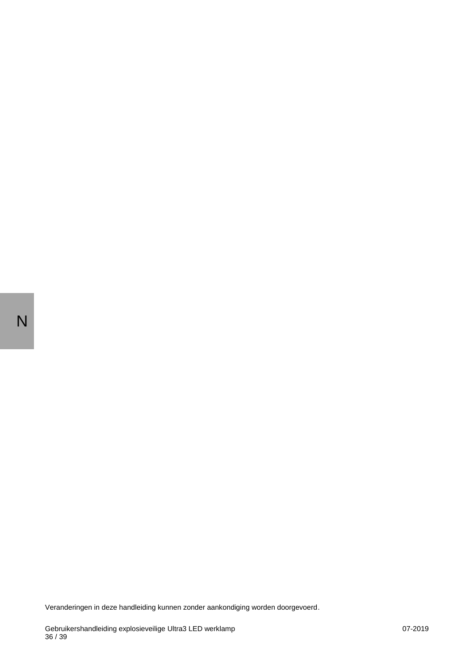Veranderingen in deze handleiding kunnen zonder aankondiging worden doorgevoerd.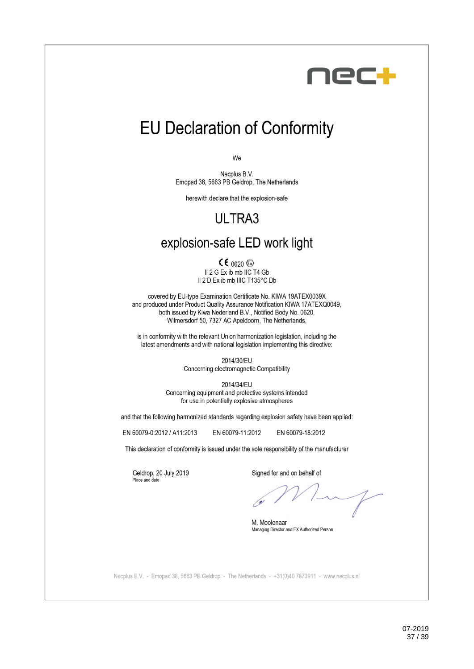

## **EU Declaration of Conformity**

We

Necplus B.V. Emopad 38, 5663 PB Geldrop, The Netherlands

herewith declare that the explosion-safe

## ULTRA3

## explosion-safe LED work light

 $CE_{0620}$ Il 2 G Ex ib mb IIC T4 Gb Il 2 D Ex ib mb IIIC T135°C Db

covered by EU-type Examination Certificate No. KIWA 19ATEX0039X and produced under Product Quality Assurance Notification KIWA 17ATEXQ0049, both issued by Kiwa Nederland B.V., Notified Body No. 0620. Wilmersdorf 50, 7327 AC Apeldoorn, The Netherlands,

is in conformity with the relevant Union harmonization legislation, including the latest amendments and with national legislation implementing this directive:

> 2014/30/EU Concerning electromagnetic Compatibility

2014/34/EU Concerning equipment and protective systems intended for use in potentially explosive atmospheres

and that the following harmonized standards regarding explosion safety have been applied:

EN 60079-0:2012 / A11:2013

EN 60079-11:2012 EN 60079-18:2012

This declaration of conformity is issued under the sole responsibility of the manufacturer

Geldrop, 20 July 2019 Place and date

Signed for and on behalf of

M. Moolenaar Managing Director and EX Authorized Person

Necplus B.V. - Emopad 38, 5663 PB Geldrop - The Netherlands - +31(0)40 7873911 - www.necplus.nl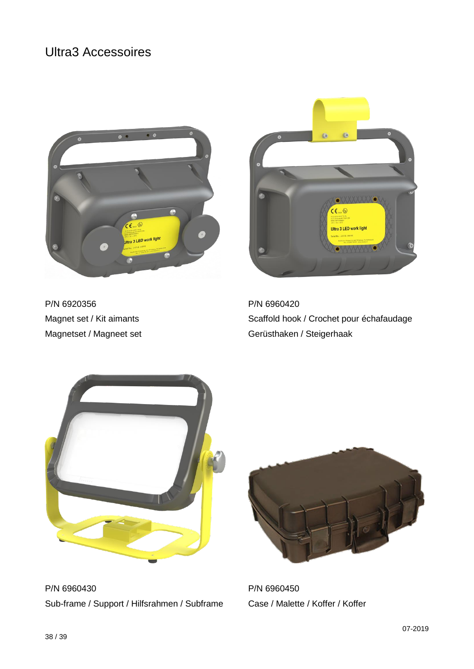## Ultra3 Accessoires





P/N 6920356 P/N 6960420

Magnet set / Kit aimants Scaffold hook / Crochet pour échafaudage Magnetset / Magneet set Gerüsthaken / Steigerhaak



P/N 6960430 P/N 6960450 Sub-frame / Support / Hilfsrahmen / Subframe Case / Malette / Koffer / Koffer

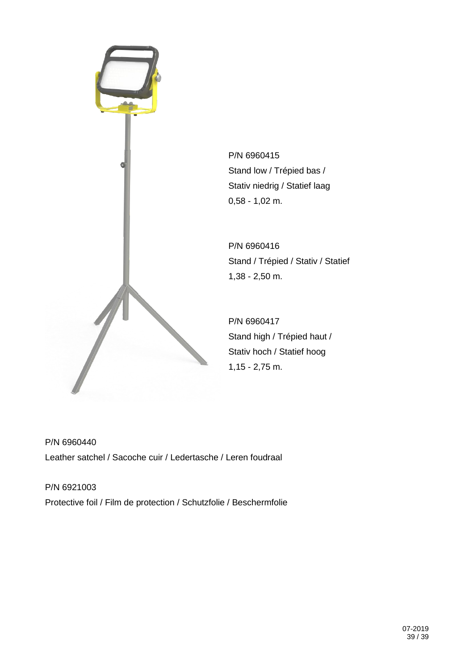

P/N 6960415 Stand low / Trépied bas / Stativ niedrig / Statief laag 0,58 - 1,02 m.

P/N 6960416 Stand / Trépied / Stativ / Statief 1,38 - 2,50 m.

P/N 6960417 Stand high / Trépied haut / Stativ hoch / Statief hoog 1,15 - 2,75 m.

P/N 6960440 Leather satchel / Sacoche cuir / Ledertasche / Leren foudraal

P/N 6921003 Protective foil / Film de protection / Schutzfolie / Beschermfolie